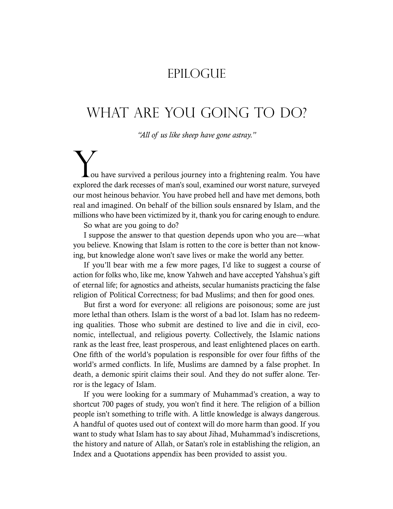## EPILOGUE

# WHAT ARE YOU GOING TO DO?

*"All of us like sheep have gone astray."*

Lou have survived a perilous journey into a frightening realm. You have explored the dark recesses of man's soul, examined our worst nature, surveyed our most heinous behavior. You have probed hell and have met demons, both real and imagined. On behalf of the billion souls ensnared by Islam, and the millions who have been victimized by it, thank you for caring enough to endure.

So what are you going to do?

I suppose the answer to that question depends upon who you are—what you believe. Knowing that Islam is rotten to the core is better than not knowing, but knowledge alone won't save lives or make the world any better.

If you'll bear with me a few more pages, I'd like to suggest a course of action for folks who, like me, know Yahweh and have accepted Yahshua's gift of eternal life; for agnostics and atheists, secular humanists practicing the false religion of Political Correctness; for bad Muslims; and then for good ones.

But first a word for everyone: all religions are poisonous; some are just more lethal than others. Islam is the worst of a bad lot. Islam has no redeeming qualities. Those who submit are destined to live and die in civil, economic, intellectual, and religious poverty. Collectively, the Islamic nations rank as the least free, least prosperous, and least enlightened places on earth. One fifth of the world's population is responsible for over four fifths of the world's armed conflicts. In life, Muslims are damned by a false prophet. In death, a demonic spirit claims their soul. And they do not suffer alone. Terror is the legacy of Islam.

If you were looking for a summary of Muhammad's creation, a way to shortcut 700 pages of study, you won't find it here. The religion of a billion people isn't something to trifle with. A little knowledge is always dangerous. A handful of quotes used out of context will do more harm than good. If you want to study what Islam has to say about Jihad, Muhammad's indiscretions, the history and nature of Allah, or Satan's role in establishing the religion, an Index and a Quotations appendix has been provided to assist you.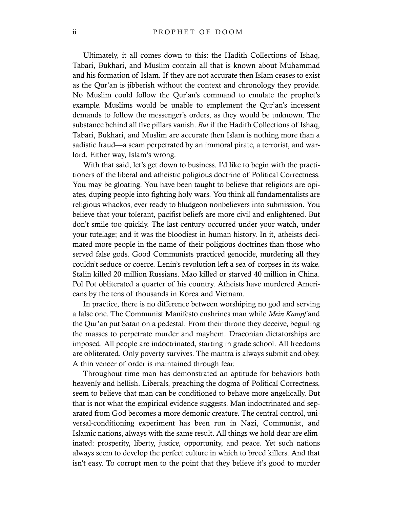Ultimately, it all comes down to this: the Hadith Collections of Ishaq, Tabari, Bukhari, and Muslim contain all that is known about Muhammad and his formation of Islam. If they are not accurate then Islam ceases to exist as the Qur'an is jibberish without the context and chronology they provide. No Muslim could follow the Qur'an's command to emulate the prophet's example. Muslims would be unable to emplement the Qur'an's incessent demands to follow the messenger's orders, as they would be unknown. The substance behind all five pillars vanish. *But* if the Hadith Collections of Ishaq, Tabari, Bukhari, and Muslim are accurate then Islam is nothing more than a sadistic fraud—a scam perpetrated by an immoral pirate, a terrorist, and warlord. Either way, Islam's wrong.

With that said, let's get down to business. I'd like to begin with the practitioners of the liberal and atheistic poligious doctrine of Political Correctness. You may be gloating. You have been taught to believe that religions are opiates, duping people into fighting holy wars. You think all fundamentalists are religious whackos, ever ready to bludgeon nonbelievers into submission. You believe that your tolerant, pacifist beliefs are more civil and enlightened. But don't smile too quickly. The last century occurred under your watch, under your tutelage; and it was the bloodiest in human history. In it, atheists decimated more people in the name of their poligious doctrines than those who served false gods. Good Communists practiced genocide, murdering all they couldn't seduce or coerce. Lenin's revolution left a sea of corpses in its wake. Stalin killed 20 million Russians. Mao killed or starved 40 million in China. Pol Pot obliterated a quarter of his country. Atheists have murdered Americans by the tens of thousands in Korea and Vietnam.

In practice, there is no difference between worshiping no god and serving a false one. The Communist Manifesto enshrines man while *Mein Kampf* and the Qur'an put Satan on a pedestal. From their throne they deceive, beguiling the masses to perpetrate murder and mayhem. Draconian dictatorships are imposed. All people are indoctrinated, starting in grade school. All freedoms are obliterated. Only poverty survives. The mantra is always submit and obey. A thin veneer of order is maintained through fear.

Throughout time man has demonstrated an aptitude for behaviors both heavenly and hellish. Liberals, preaching the dogma of Political Correctness, seem to believe that man can be conditioned to behave more angelically. But that is not what the empirical evidence suggests. Man indoctrinated and separated from God becomes a more demonic creature. The central-control, universal-conditioning experiment has been run in Nazi, Communist, and Islamic nations, always with the same result. All things we hold dear are eliminated: prosperity, liberty, justice, opportunity, and peace. Yet such nations always seem to develop the perfect culture in which to breed killers. And that isn't easy. To corrupt men to the point that they believe it's good to murder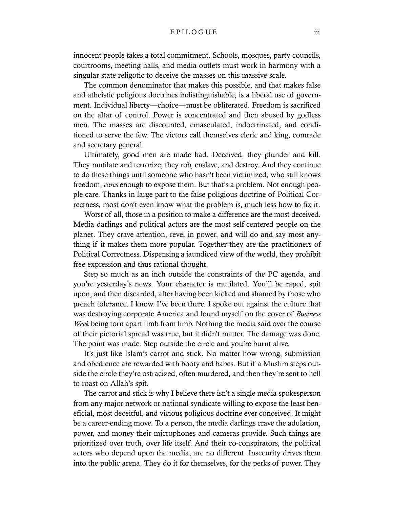### EPILOGUE iii

innocent people takes a total commitment. Schools, mosques, party councils, courtrooms, meeting halls, and media outlets must work in harmony with a singular state religotic to deceive the masses on this massive scale.

The common denominator that makes this possible, and that makes false and atheistic poligious doctrines indistinguishable, is a liberal use of government. Individual liberty—choice—must be obliterated. Freedom is sacrificed on the altar of control. Power is concentrated and then abused by godless men. The masses are discounted, emasculated, indoctrinated, and conditioned to serve the few. The victors call themselves cleric and king, comrade and secretary general.

Ultimately, good men are made bad. Deceived, they plunder and kill. They mutilate and terrorize; they rob, enslave, and destroy. And they continue to do these things until someone who hasn't been victimized, who still knows freedom, *cares* enough to expose them. But that's a problem. Not enough people care. Thanks in large part to the false poligious doctrine of Political Correctness, most don't even know what the problem is, much less how to fix it.

Worst of all, those in a position to make a difference are the most deceived. Media darlings and political actors are the most self-centered people on the planet. They crave attention, revel in power, and will do and say most anything if it makes them more popular. Together they are the practitioners of Political Correctness. Dispensing a jaundiced view of the world, they prohibit free expression and thus rational thought.

Step so much as an inch outside the constraints of the PC agenda, and you're yesterday's news. Your character is mutilated. You'll be raped, spit upon, and then discarded, after having been kicked and shamed by those who preach tolerance. I know. I've been there. I spoke out against the culture that was destroying corporate America and found myself on the cover of *Business Week* being torn apart limb from limb. Nothing the media said over the course of their pictorial spread was true, but it didn't matter. The damage was done. The point was made. Step outside the circle and you're burnt alive.

It's just like Islam's carrot and stick. No matter how wrong, submission and obedience are rewarded with booty and babes. But if a Muslim steps outside the circle they're ostracized, often murdered, and then they're sent to hell to roast on Allah's spit.

The carrot and stick is why I believe there isn't a single media spokesperson from any major network or national syndicate willing to expose the least beneficial, most deceitful, and vicious poligious doctrine ever conceived. It might be a career-ending move. To a person, the media darlings crave the adulation, power, and money their microphones and cameras provide. Such things are prioritized over truth, over life itself. And their co-conspirators, the political actors who depend upon the media, are no different. Insecurity drives them into the public arena. They do it for themselves, for the perks of power. They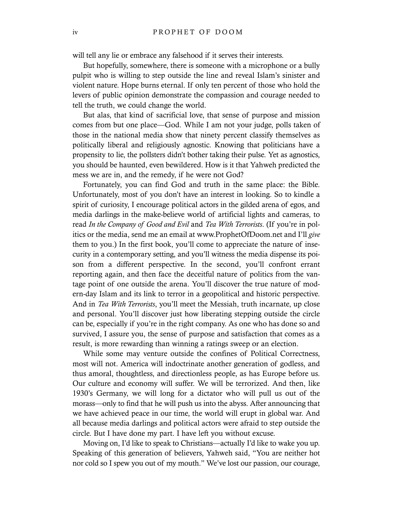will tell any lie or embrace any falsehood if it serves their interests.

But hopefully, somewhere, there is someone with a microphone or a bully pulpit who is willing to step outside the line and reveal Islam's sinister and violent nature. Hope burns eternal. If only ten percent of those who hold the levers of public opinion demonstrate the compassion and courage needed to tell the truth, we could change the world.

But alas, that kind of sacrificial love, that sense of purpose and mission comes from but one place—God. While I am not your judge, polls taken of those in the national media show that ninety percent classify themselves as politically liberal and religiously agnostic. Knowing that politicians have a propensity to lie, the pollsters didn't bother taking their pulse. Yet as agnostics, you should be haunted, even bewildered. How is it that Yahweh predicted the mess we are in, and the remedy, if he were not God?

Fortunately, you can find God and truth in the same place: the Bible. Unfortunately, most of you don't have an interest in looking. So to kindle a spirit of curiosity, I encourage political actors in the gilded arena of egos, and media darlings in the make-believe world of artificial lights and cameras, to read *In the Company of Good and Evil* and *Tea With Terrorists*. (If you're in politics or the media, send me an email at www.ProphetOfDoom.net and I'll *give* them to you.) In the first book, you'll come to appreciate the nature of insecurity in a contemporary setting, and you'll witness the media dispense its poison from a different perspective. In the second, you'll confront errant reporting again, and then face the deceitful nature of politics from the vantage point of one outside the arena. You'll discover the true nature of modern-day Islam and its link to terror in a geopolitical and historic perspective. And in *Tea With Terrorists*, you'll meet the Messiah, truth incarnate, up close and personal. You'll discover just how liberating stepping outside the circle can be, especially if you're in the right company. As one who has done so and survived, I assure you, the sense of purpose and satisfaction that comes as a result, is more rewarding than winning a ratings sweep or an election.

While some may venture outside the confines of Political Correctness, most will not. America will indoctrinate another generation of godless, and thus amoral, thoughtless, and directionless people, as has Europe before us. Our culture and economy will suffer. We will be terrorized. And then, like 1930's Germany, we will long for a dictator who will pull us out of the morass—only to find that he will push us into the abyss. After announcing that we have achieved peace in our time, the world will erupt in global war. And all because media darlings and political actors were afraid to step outside the circle. But I have done my part. I have left you without excuse.

Moving on, I'd like to speak to Christians—actually I'd like to wake you up. Speaking of this generation of believers, Yahweh said, "You are neither hot nor cold so I spew you out of my mouth." We've lost our passion, our courage,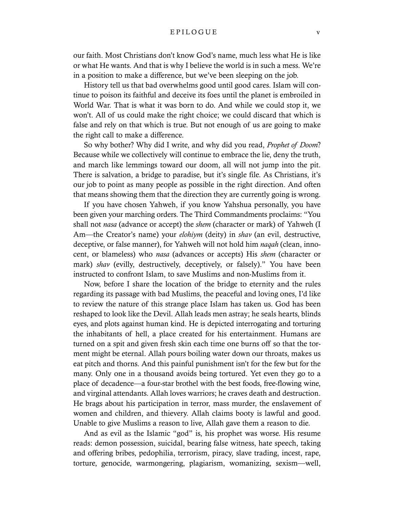#### EPILOGUE v

our faith. Most Christians don't know God's name, much less what He is like or what He wants. And that is why I believe the world is in such a mess. We're in a position to make a difference, but we've been sleeping on the job.

History tell us that bad overwhelms good until good cares. Islam will continue to poison its faithful and deceive its foes until the planet is embroiled in World War. That is what it was born to do. And while we could stop it, we won't. All of us could make the right choice; we could discard that which is false and rely on that which is true. But not enough of us are going to make the right call to make a difference.

So why bother? Why did I write, and why did you read, *Prophet of Doom*? Because while we collectively will continue to embrace the lie, deny the truth, and march like lemmings toward our doom, all will not jump into the pit. There is salvation, a bridge to paradise, but it's single file. As Christians, it's our job to point as many people as possible in the right direction. And often that means showing them that the direction they are currently going is wrong.

If you have chosen Yahweh, if you know Yahshua personally, you have been given your marching orders. The Third Commandments proclaims: "You shall not *nasa* (advance or accept) the *shem* (character or mark) of Yahweh (I Am—the Creator's name) your *elohiym* (deity) in *shav* (an evil, destructive, deceptive, or false manner), for Yahweh will not hold him *naqah* (clean, innocent, or blameless) who *nasa* (advances or accepts) His *shem* (character or mark) *shav* (evilly, destructively, deceptively, or falsely)." You have been instructed to confront Islam, to save Muslims and non-Muslims from it.

Now, before I share the location of the bridge to eternity and the rules regarding its passage with bad Muslims, the peaceful and loving ones, I'd like to review the nature of this strange place Islam has taken us. God has been reshaped to look like the Devil. Allah leads men astray; he seals hearts, blinds eyes, and plots against human kind. He is depicted interrogating and torturing the inhabitants of hell, a place created for his entertainment. Humans are turned on a spit and given fresh skin each time one burns off so that the torment might be eternal. Allah pours boiling water down our throats, makes us eat pitch and thorns. And this painful punishment isn't for the few but for the many. Only one in a thousand avoids being tortured. Yet even they go to a place of decadence—a four-star brothel with the best foods, free-flowing wine, and virginal attendants. Allah loves warriors; he craves death and destruction. He brags about his participation in terror, mass murder, the enslavement of women and children, and thievery. Allah claims booty is lawful and good. Unable to give Muslims a reason to live, Allah gave them a reason to die.

And as evil as the Islamic "god" is, his prophet was worse. His resume reads: demon possession, suicidal, bearing false witness, hate speech, taking and offering bribes, pedophilia, terrorism, piracy, slave trading, incest, rape, torture, genocide, warmongering, plagiarism, womanizing, sexism—well,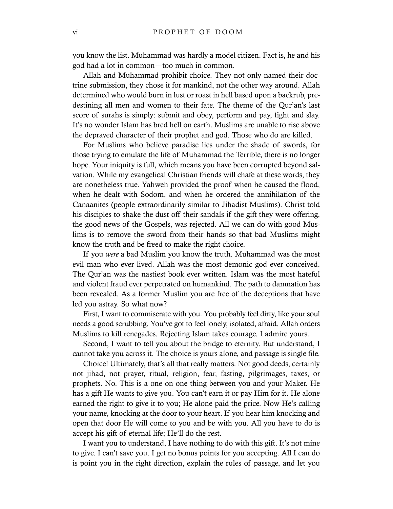you know the list. Muhammad was hardly a model citizen. Fact is, he and his god had a lot in common—too much in common.

Allah and Muhammad prohibit choice. They not only named their doctrine submission, they chose it for mankind, not the other way around. Allah determined who would burn in lust or roast in hell based upon a backrub, predestining all men and women to their fate. The theme of the Qur'an's last score of surahs is simply: submit and obey, perform and pay, fight and slay. It's no wonder Islam has bred hell on earth. Muslims are unable to rise above the depraved character of their prophet and god. Those who do are killed.

For Muslims who believe paradise lies under the shade of swords, for those trying to emulate the life of Muhammad the Terrible, there is no longer hope. Your iniquity is full, which means you have been corrupted beyond salvation. While my evangelical Christian friends will chafe at these words, they are nonetheless true. Yahweh provided the proof when he caused the flood, when he dealt with Sodom, and when he ordered the annihilation of the Canaanites (people extraordinarily similar to Jihadist Muslims). Christ told his disciples to shake the dust off their sandals if the gift they were offering, the good news of the Gospels, was rejected. All we can do with good Muslims is to remove the sword from their hands so that bad Muslims might know the truth and be freed to make the right choice.

If you *were* a bad Muslim you know the truth. Muhammad was the most evil man who ever lived. Allah was the most demonic god ever conceived. The Qur'an was the nastiest book ever written. Islam was the most hateful and violent fraud ever perpetrated on humankind. The path to damnation has been revealed. As a former Muslim you are free of the deceptions that have led you astray. So what now?

First, I want to commiserate with you. You probably feel dirty, like your soul needs a good scrubbing. You've got to feel lonely, isolated, afraid. Allah orders Muslims to kill renegades. Rejecting Islam takes courage. I admire yours.

Second, I want to tell you about the bridge to eternity. But understand, I cannot take you across it. The choice is yours alone, and passage is single file.

Choice! Ultimately, that's all that really matters. Not good deeds, certainly not jihad, not prayer, ritual, religion, fear, fasting, pilgrimages, taxes, or prophets. No. This is a one on one thing between you and your Maker. He has a gift He wants to give you. You can't earn it or pay Him for it. He alone earned the right to give it to you; He alone paid the price. Now He's calling your name, knocking at the door to your heart. If you hear him knocking and open that door He will come to you and be with you. All you have to do is accept his gift of eternal life; He'll do the rest.

I want you to understand, I have nothing to do with this gift. It's not mine to give. I can't save you. I get no bonus points for you accepting. All I can do is point you in the right direction, explain the rules of passage, and let you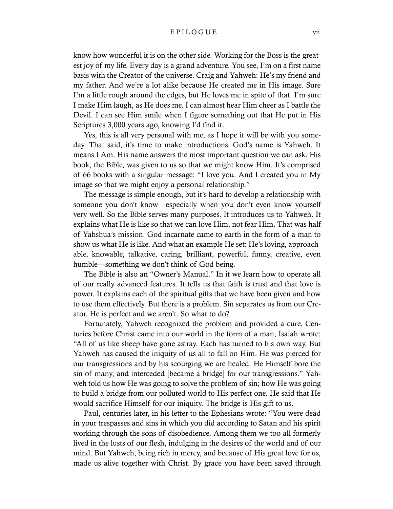#### EPILOGUE vii

know how wonderful it is on the other side. Working for the Boss is the greatest joy of my life. Every day is a grand adventure. You see, I'm on a first name basis with the Creator of the universe. Craig and Yahweh: He's my friend and my father. And we're a lot alike because He created me in His image. Sure I'm a little rough around the edges, but He loves me in spite of that. I'm sure I make Him laugh, as He does me. I can almost hear Him cheer as I battle the Devil. I can see Him smile when I figure something out that He put in His Scriptures 3,000 years ago, knowing I'd find it.

Yes, this is all very personal with me, as I hope it will be with you someday. That said, it's time to make introductions. God's name is Yahweh. It means I Am. His name answers the most important question we can ask. His book, the Bible, was given to us so that we might know Him. It's comprised of 66 books with a singular message: "I love you. And I created you in My image so that we might enjoy a personal relationship."

The message is simple enough, but it's hard to develop a relationship with someone you don't know—especially when you don't even know yourself very well. So the Bible serves many purposes. It introduces us to Yahweh. It explains what He is like so that we can love Him, not fear Him. That was half of Yahshua's mission. God incarnate came to earth in the form of a man to show us what He is like. And what an example He set: He's loving, approachable, knowable, talkative, caring, brilliant, powerful, funny, creative, even humble—something we don't think of God being.

The Bible is also an "Owner's Manual." In it we learn how to operate all of our really advanced features. It tells us that faith is trust and that love is power. It explains each of the spiritual gifts that we have been given and how to use them effectively. But there is a problem. Sin separates us from our Creator. He is perfect and we aren't. So what to do?

Fortunately, Yahweh recognized the problem and provided a cure. Centuries before Christ came into our world in the form of a man, Isaiah wrote: "All of us like sheep have gone astray. Each has turned to his own way. But Yahweh has caused the iniquity of us all to fall on Him. He was pierced for our transgressions and by his scourging we are healed. He Himself bore the sin of many, and interceded [became a bridge] for our transgressions." Yahweh told us how He was going to solve the problem of sin; how He was going to build a bridge from our polluted world to His perfect one. He said that He would sacrifice Himself for our iniquity. The bridge is His gift to us.

Paul, centuries later, in his letter to the Ephesians wrote: "You were dead in your trespasses and sins in which you did according to Satan and his spirit working through the sons of disobedience. Among them we too all formerly lived in the lusts of our flesh, indulging in the desires of the world and of our mind. But Yahweh, being rich in mercy, and because of His great love for us, made us alive together with Christ. By grace you have been saved through